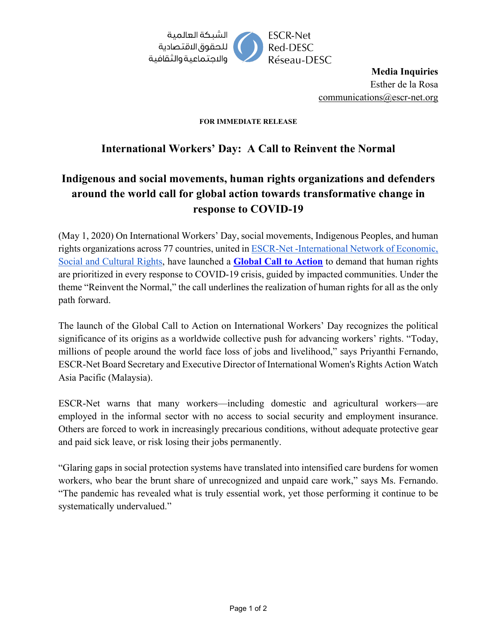

**Media Inquiries** Esther de la Rosa [communications@escr-net.org](mailto:communications@escr-net.org)

## **FOR IMMEDIATE RELEASE**

## **International Workers' Day: A Call to Reinvent the Normal**

## **Indigenous and social movements, human rights organizations and defenders around the world call for global action towards transformative change in response to COVID-19**

(May 1, 2020) On International Workers' Day, social movements, Indigenous Peoples, and human rights organizations across 77 countries, united i[n ESCR-Net -International Network of Economic,](https://www.escr-net.org/)  [Social and Cultural Rights,](https://www.escr-net.org/) have launched a **[Global Call to Action](https://www.escr-net.org/news/2020/escr-net-global-call-action-response-covid-19)** to demand that human rights are prioritized in every response to COVID-19 crisis, guided by impacted communities. Under the theme "Reinvent the Normal," the call underlines the realization of human rights for all as the only path forward.

The launch of the Global Call to Action on International Workers' Day recognizes the political significance of its origins as a worldwide collective push for advancing workers' rights. "Today, millions of people around the world face loss of jobs and livelihood," says Priyanthi Fernando, ESCR-Net Board Secretary and Executive Director of International Women's Rights Action Watch Asia Pacific (Malaysia).

ESCR-Net warns that many workers—including domestic and agricultural workers—are employed in the informal sector with no access to social security and employment insurance. Others are forced to work in increasingly precarious conditions, without adequate protective gear and paid sick leave, or risk losing their jobs permanently.

"Glaring gaps in social protection systems have translated into intensified care burdens for women workers, who bear the brunt share of unrecognized and unpaid care work," says Ms. Fernando. "The pandemic has revealed what is truly essential work, yet those performing it continue to be systematically undervalued."